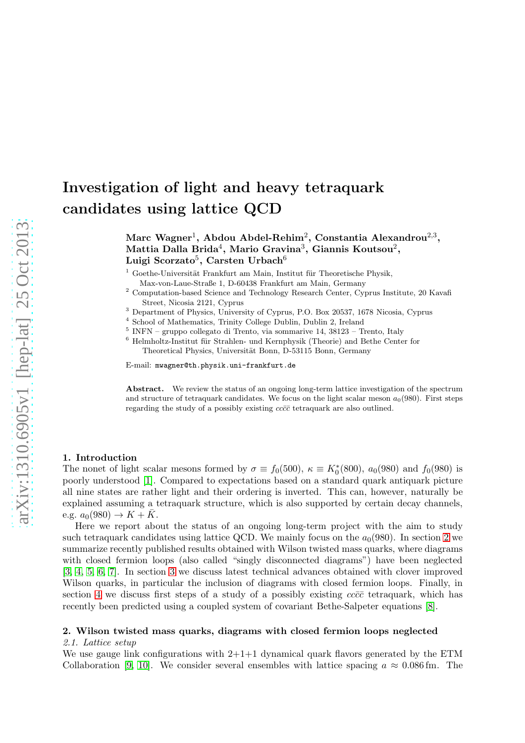# Investigation of light and heavy tetraquark candidates using lattice QCD

Marc Wagner $^1$ , Abdou Abdel-Rehim $^2$ , Constantia Alexandrou $^{2,3},$ Mattia Dalla Brida $^4$ , Mario Gravina $^3$ , Giannis Koutsou $^2,$ Luigi Scorzato $^5, \, {\rm Carsten}$  Urbach $^6$ 

 $^1$  Goethe-Universität Frankfurt am Main, Institut für Theoretische Physik, Max-von-Laue-Straße 1, D-60438 Frankfurt am Main, Germany

<sup>2</sup> Computation-based Science and Technology Research Center, Cyprus Institute, 20 Kavafi Street, Nicosia 2121, Cyprus

<sup>3</sup> Department of Physics, University of Cyprus, P.O. Box 20537, 1678 Nicosia, Cyprus

4 School of Mathematics, Trinity College Dublin, Dublin 2, Ireland

- 5 INFN gruppo collegato di Trento, via sommarive 14, 38123 Trento, Italy
- $6$  Helmholtz-Institut für Strahlen- und Kernphysik (Theorie) and Bethe Center for Theoretical Physics, Universität Bonn, D-53115 Bonn, Germany

E-mail: mwagner@th.physik.uni-frankfurt.de

Abstract. We review the status of an ongoing long-term lattice investigation of the spectrum and structure of tetraquark candidates. We focus on the light scalar meson  $a_0(980)$ . First steps regarding the study of a possibly existing  $cc\bar{c}\bar{c}$  tetraquark are also outlined.

# 1. Introduction

The nonet of light scalar mesons formed by  $\sigma \equiv f_0(500)$ ,  $\kappa \equiv K_0^*(800)$ ,  $a_0(980)$  and  $f_0(980)$  is poorly understood [\[1\]](#page-4-0). Compared to expectations based on a standard quark antiquark picture all nine states are rather light and their ordering is inverted. This can, however, naturally be explained assuming a tetraquark structure, which is also supported by certain decay channels, e.g.  $a_0(980) \to K + \bar{K}$ .

Here we report about the status of an ongoing long-term project with the aim to study such tetraquark candidates using lattice QCD. We mainly focus on the  $a_0(980)$ . In section [2](#page-0-0) we summarize recently published results obtained with Wilson twisted mass quarks, where diagrams with closed fermion loops (also called "singly disconnected diagrams") have been neglected [\[3,](#page-4-1) [4,](#page-4-2) [5,](#page-4-3) [6,](#page-4-4) [7\]](#page-4-5). In section [3](#page-2-0) we discuss latest technical advances obtained with clover improved Wilson quarks, in particular the inclusion of diagrams with closed fermion loops. Finally, in section [4](#page-3-0) we discuss first steps of a study of a possibly existing  $cc\bar{c}\bar{c}$  tetraquark, which has recently been predicted using a coupled system of covariant Bethe-Salpeter equations [\[8\]](#page-4-6).

# <span id="page-0-1"></span><span id="page-0-0"></span>2. Wilson twisted mass quarks, diagrams with closed fermion loops neglected

## 2.1. Lattice setup

We use gauge link configurations with  $2+1+1$  dynamical quark flavors generated by the ETM Collaboration [\[9,](#page-4-7) [10\]](#page-4-8). We consider several ensembles with lattice spacing  $a \approx 0.086$  fm. The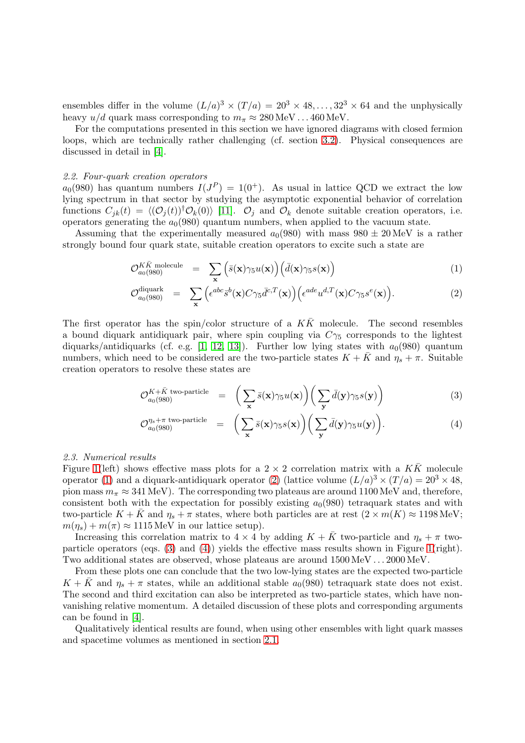ensembles differ in the volume  $(L/a)^3 \times (T/a) = 20^3 \times 48, ..., 32^3 \times 64$  and the unphysically heavy  $u/d$  quark mass corresponding to  $m_{\pi} \approx 280 \,\text{MeV} \dots 460 \,\text{MeV}$ .

For the computations presented in this section we have ignored diagrams with closed fermion loops, which are technically rather challenging (cf. section [3.2\)](#page-2-1). Physical consequences are discussed in detail in [\[4\]](#page-4-2).

## 2.2. Four-quark creation operators

 $a_0(980)$  has quantum numbers  $I(J^P) = 1(0^+)$ . As usual in lattice QCD we extract the low lying spectrum in that sector by studying the asymptotic exponential behavior of correlation functions  $C_{jk}(t) = \langle (\mathcal{O}_j(t))^{\dagger} \mathcal{O}_k(0) \rangle$  [\[11\]](#page-4-9).  $\mathcal{O}_j$  and  $\mathcal{O}_k$  denote suitable creation operators, i.e. operators generating the  $a<sub>0</sub>(980)$  quantum numbers, when applied to the vacuum state.

Assuming that the experimentally measured  $a_0(980)$  with mass  $980 \pm 20$  MeV is a rather strongly bound four quark state, suitable creation operators to excite such a state are

<span id="page-1-0"></span>
$$
\mathcal{O}_{a_0(980)}^{K\bar{K}\text{ molecule}} = \sum_{\mathbf{x}} \left( \bar{s}(\mathbf{x}) \gamma_5 u(\mathbf{x}) \right) \left( \bar{d}(\mathbf{x}) \gamma_5 s(\mathbf{x}) \right) \tag{1}
$$

$$
\mathcal{O}_{a_0(980)}^{\text{diquark}} = \sum_{\mathbf{x}} \left( \epsilon^{abc} \bar{s}^b(\mathbf{x}) C \gamma_5 \bar{d}^{c,T}(\mathbf{x}) \right) \left( \epsilon^{ade} u^{d,T}(\mathbf{x}) C \gamma_5 s^e(\mathbf{x}) \right).
$$
 (2)

The first operator has the spin/color structure of a  $K\bar{K}$  molecule. The second resembles a bound diquark antidiquark pair, where spin coupling via  $C_{\gamma_5}$  corresponds to the lightest diquarks/antidiquarks (cf. e.g. [\[1,](#page-4-0) [12,](#page-4-10) [13\]](#page-4-11)). Further low lying states with  $a_0(980)$  quantum numbers, which need to be considered are the two-particle states  $K + \bar{K}$  and  $\eta_s + \pi$ . Suitable creation operators to resolve these states are

<span id="page-1-1"></span>
$$
\mathcal{O}_{a_0(980)}^{K+\bar{K} \text{ two-particle}} = \left( \sum_{\mathbf{x}} \bar{s}(\mathbf{x}) \gamma_5 u(\mathbf{x}) \right) \left( \sum_{\mathbf{y}} \bar{d}(\mathbf{y}) \gamma_5 s(\mathbf{y}) \right) \tag{3}
$$

$$
\mathcal{O}_{a_0(980)}^{\eta_s + \pi \text{ two-particle}} = \left( \sum_{\mathbf{x}} \bar{s}(\mathbf{x}) \gamma_5 s(\mathbf{x}) \right) \left( \sum_{\mathbf{y}} \bar{d}(\mathbf{y}) \gamma_5 u(\mathbf{y}) \right).
$$
 (4)

#### <span id="page-1-2"></span>2.3. Numerical results

Figure [1\(](#page-2-2)left) shows effective mass plots for a  $2 \times 2$  correlation matrix with a  $K\bar{K}$  molecule operator [\(1\)](#page-1-0) and a diquark-antidiquark operator [\(2\)](#page-1-0) (lattice volume  $(L/a)^3 \times (T/a) = 20^3 \times 48$ , pion mass  $m_{\pi} \approx 341 \text{ MeV}$ ). The corresponding two plateaus are around 1100 MeV and, therefore, consistent both with the expectation for possibly existing  $a_0(980)$  tetraquark states and with two-particle  $K + K$  and  $\eta_s + \pi$  states, where both particles are at rest  $(2 \times m(K) \approx 1198 \text{ MeV};$  $m(\eta_s) + m(\pi) \approx 1115 \text{ MeV}$  in our lattice setup).

Increasing this correlation matrix to  $4 \times 4$  by adding  $K + \bar{K}$  two-particle and  $\eta_s + \pi$  twoparticle operators (eqs. [\(3\)](#page-1-1) and [\(4\)](#page-1-1)) yields the effective mass results shown in Figure [1\(](#page-2-2)right). Two additional states are observed, whose plateaus are around 1500 MeV . . . 2000 MeV.

From these plots one can conclude that the two low-lying states are the expected two-particle  $K + \bar{K}$  and  $\eta_s + \pi$  states, while an additional stable  $a_0(980)$  tetraquark state does not exist. The second and third excitation can also be interpreted as two-particle states, which have nonvanishing relative momentum. A detailed discussion of these plots and corresponding arguments can be found in [\[4\]](#page-4-2).

Qualitatively identical results are found, when using other ensembles with light quark masses and spacetime volumes as mentioned in section [2.1.](#page-0-1)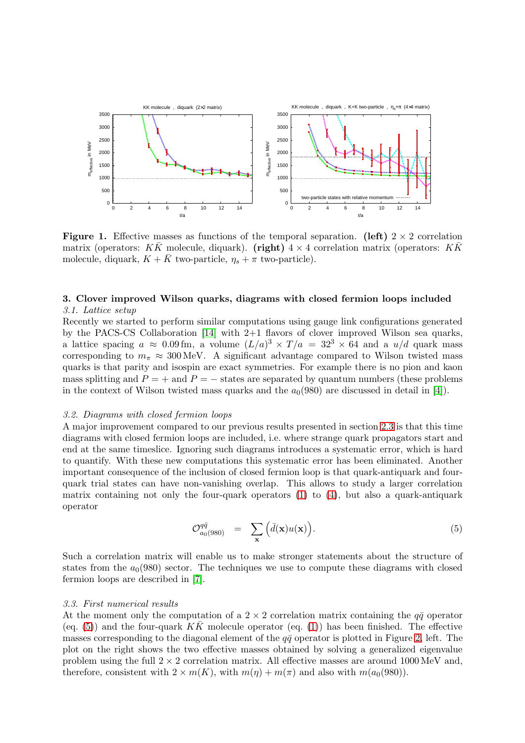

<span id="page-2-2"></span>**Figure 1.** Effective masses as functions of the temporal separation. (left)  $2 \times 2$  correlation matrix (operators: K $\bar{K}$  molecule, diquark). (right)  $4 \times 4$  correlation matrix (operators: K $\bar{K}$ molecule, diquark,  $K + \bar{K}$  two-particle,  $\eta_s + \pi$  two-particle).

# <span id="page-2-0"></span>3. Clover improved Wilson quarks, diagrams with closed fermion loops included 3.1. Lattice setup

Recently we started to perform similar computations using gauge link configurations generated by the PACS-CS Collaboration [\[14\]](#page-4-12) with 2+1 flavors of clover improved Wilson sea quarks, a lattice spacing  $a \approx 0.09 \,\text{fm}$ , a volume  $(L/a)^3 \times T/a = 32^3 \times 64$  and a  $u/d$  quark mass corresponding to  $m_{\pi} \approx 300 \,\text{MeV}$ . A significant advantage compared to Wilson twisted mass quarks is that parity and isospin are exact symmetries. For example there is no pion and kaon mass splitting and  $P = +$  and  $P = -$  states are separated by quantum numbers (these problems in the context of Wilson twisted mass quarks and the  $a_0(980)$  are discussed in detail in [\[4\]](#page-4-2)).

## <span id="page-2-1"></span>3.2. Diagrams with closed fermion loops

A major improvement compared to our previous results presented in section [2.3](#page-1-2) is that this time diagrams with closed fermion loops are included, i.e. where strange quark propagators start and end at the same timeslice. Ignoring such diagrams introduces a systematic error, which is hard to quantify. With these new computations this systematic error has been eliminated. Another important consequence of the inclusion of closed fermion loop is that quark-antiquark and fourquark trial states can have non-vanishing overlap. This allows to study a larger correlation matrix containing not only the four-quark operators  $(1)$  to  $(4)$ , but also a quark-antiquark operator

<span id="page-2-3"></span>
$$
\mathcal{O}_{a_0(980)}^{q\bar{q}} = \sum_{\mathbf{x}} \Big( \bar{d}(\mathbf{x}) u(\mathbf{x}) \Big). \tag{5}
$$

Such a correlation matrix will enable us to make stronger statements about the structure of states from the  $a_0(980)$  sector. The techniques we use to compute these diagrams with closed fermion loops are described in [\[7\]](#page-4-5).

## 3.3. First numerical results

At the moment only the computation of a  $2 \times 2$  correlation matrix containing the  $q\bar{q}$  operator (eq. [\(5\)](#page-2-3)) and the four-quark  $K\bar{K}$  molecule operator (eq. [\(1\)](#page-1-0)) has been finished. The effective masses corresponding to the diagonal element of the  $q\bar{q}$  operator is plotted in Figure [2,](#page-3-1) left. The plot on the right shows the two effective masses obtained by solving a generalized eigenvalue problem using the full  $2 \times 2$  correlation matrix. All effective masses are around 1000 MeV and, therefore, consistent with  $2 \times m(K)$ , with  $m(\eta) + m(\pi)$  and also with  $m(a_0(980))$ .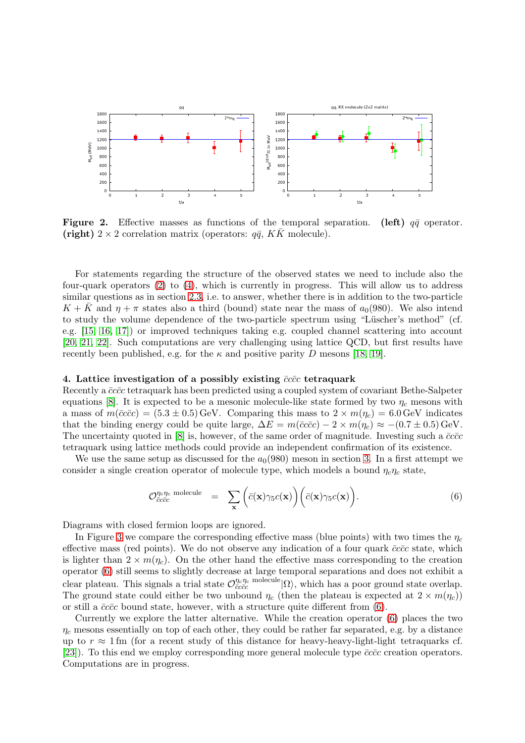

<span id="page-3-1"></span>Figure 2. Effective masses as functions of the temporal separation. (left)  $q\bar{q}$  operator. (right)  $2 \times 2$  correlation matrix (operators:  $q\bar{q}$ , KK molecule).

For statements regarding the structure of the observed states we need to include also the four-quark operators [\(2\)](#page-1-0) to [\(4\)](#page-1-1), which is currently in progress. This will allow us to address similar questions as in section [2.3,](#page-1-2) i.e. to answer, whether there is in addition to the two-particle  $K + \bar{K}$  and  $\eta + \pi$  states also a third (bound) state near the mass of  $a_0(980)$ . We also intend to study the volume dependence of the two-particle spectrum using "Lüscher's method" (cf. e.g. [\[15,](#page-4-13) [16,](#page-4-14) [17\]](#page-4-15)) or improved techniques taking e.g. coupled channel scattering into account [\[20,](#page-4-16) [21,](#page-4-17) [22\]](#page-4-18). Such computations are very challenging using lattice QCD, but first results have recently been published, e.g. for the  $\kappa$  and positive parity D mesons [\[18,](#page-4-19) [19\]](#page-4-20).

## <span id="page-3-0"></span>4. Lattice investigation of a possibly existing  $\bar{c}c\bar{c}c$  tetraquark

Recently a  $\bar{c}c\bar{c}c$  tetraquark has been predicted using a coupled system of covariant Bethe-Salpeter equations [\[8\]](#page-4-6). It is expected to be a mesonic molecule-like state formed by two  $\eta_c$  mesons with a mass of  $m(\bar{c}c\bar{c}c) = (5.3 \pm 0.5)$  GeV. Comparing this mass to  $2 \times m(\eta_c) = 6.0$  GeV indicates that the binding energy could be quite large,  $\Delta E = m(\bar{c}c\bar{c}c) - 2 \times m(\eta_c) \approx -(0.7 \pm 0.5) \,\text{GeV}.$ The uncertainty quoted in [\[8\]](#page-4-6) is, however, of the same order of magnitude. Investing such a  $\bar{c}c\bar{c}c$ tetraquark using lattice methods could provide an independent confirmation of its existence.

We use the same setup as discussed for the  $a<sub>0</sub>(980)$  meson in section [3.](#page-2-0) In a first attempt we consider a single creation operator of molecule type, which models a bound  $\eta_c\eta_c$  state,

<span id="page-3-2"></span>
$$
\mathcal{O}_{\bar{c}c\bar{c}c}^{\eta_c\eta_c \text{ molecule}} = \sum_{\mathbf{x}} \left( \bar{c}(\mathbf{x}) \gamma_5 c(\mathbf{x}) \right) \left( \bar{c}(\mathbf{x}) \gamma_5 c(\mathbf{x}) \right). \tag{6}
$$

Diagrams with closed fermion loops are ignored.

In Figure [3](#page-4-21) we compare the corresponding effective mass (blue points) with two times the  $\eta_c$ effective mass (red points). We do not observe any indication of a four quark  $\bar{c}c\bar{c}c$  state, which is lighter than  $2 \times m(\eta_c)$ . On the other hand the effective mass corresponding to the creation operator [\(6\)](#page-3-2) still seems to slightly decrease at large temporal separations and does not exhibit a clear plateau. This signals a trial state  $\mathcal{O}^{\eta_c \eta_c}_{\bar{c}c\bar{c}c}$  molecule  $|\Omega\rangle$ , which has a poor ground state overlap. The ground state could either be two unbound  $\eta_c$  (then the plateau is expected at  $2 \times m(\eta_c)$ ) or still a  $\bar{c}c\bar{c}c$  bound state, however, with a structure quite different from [\(6\)](#page-3-2).

Currently we explore the latter alternative. While the creation operator [\(6\)](#page-3-2) places the two  $\eta_c$  mesons essentially on top of each other, they could be rather far separated, e.g. by a distance up to  $r \approx 1$  fm (for a recent study of this distance for heavy-heavy-light-light tetraquarks cf. [\[23\]](#page-4-22)). To this end we employ corresponding more general molecule type  $\bar{c}c\bar{c}c$  creation operators. Computations are in progress.